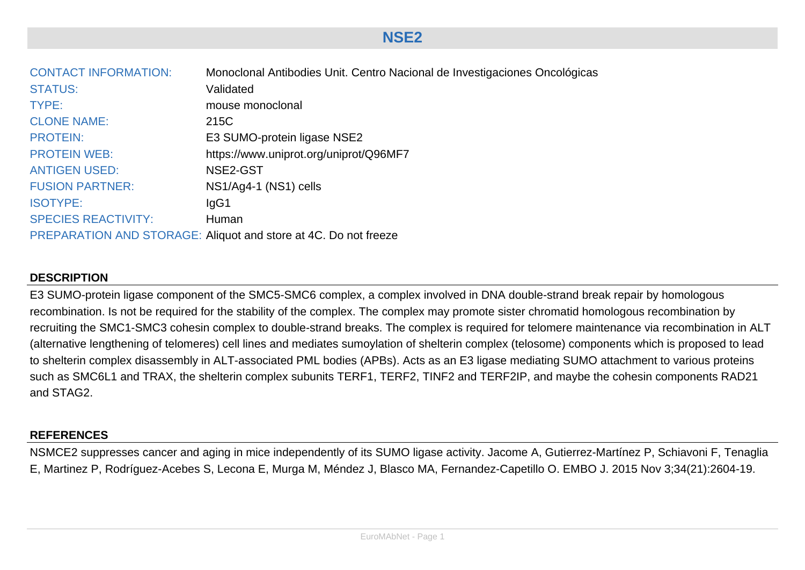| <b>CONTACT INFORMATION:</b> | Monoclonal Antibodies Unit. Centro Nacional de Investigaciones Oncológicas |
|-----------------------------|----------------------------------------------------------------------------|
| <b>STATUS:</b>              | Validated                                                                  |
| TYPE:                       | mouse monoclonal                                                           |
| <b>CLONE NAME:</b>          | 215C                                                                       |
| <b>PROTEIN:</b>             | E3 SUMO-protein ligase NSE2                                                |
| <b>PROTEIN WEB:</b>         | https://www.uniprot.org/uniprot/Q96MF7                                     |
| <b>ANTIGEN USED:</b>        | NSE2-GST                                                                   |
| <b>FUSION PARTNER:</b>      | NS1/Ag4-1 (NS1) cells                                                      |
| <b>ISOTYPE:</b>             | lgG1                                                                       |
| <b>SPECIES REACTIVITY:</b>  | Human                                                                      |
|                             | PREPARATION AND STORAGE: Aliquot and store at 4C. Do not freeze            |

## **DESCRIPTION**

E3 SUMO-protein ligase component of the SMC5-SMC6 complex, a complex involved in DNA double-strand break repair by homologous recombination. Is not be required for the stability of the complex. The complex may promote sister chromatid homologous recombination by recruiting the SMC1-SMC3 cohesin complex to double-strand breaks. The complex is required for telomere maintenance via recombination in ALT (alternative lengthening of telomeres) cell lines and mediates sumoylation of shelterin complex (telosome) components which is proposed to lead to shelterin complex disassembly in ALT-associated PML bodies (APBs). Acts as an E3 ligase mediating SUMO attachment to various proteins such as SMC6L1 and TRAX, the shelterin complex subunits TERF1, TERF2, TINF2 and TERF2IP, and maybe the cohesin components RAD21 and STAG2.

## **REFERENCES**

NSMCE2 suppresses cancer and aging in mice independently of its SUMO ligase activity. Jacome A, Gutierrez-Martínez P, Schiavoni F, Tenaglia E, Martinez P, Rodríguez-Acebes S, Lecona E, Murga M, Méndez J, Blasco MA, Fernandez-Capetillo O. EMBO J. 2015 Nov 3;34(21):2604-19.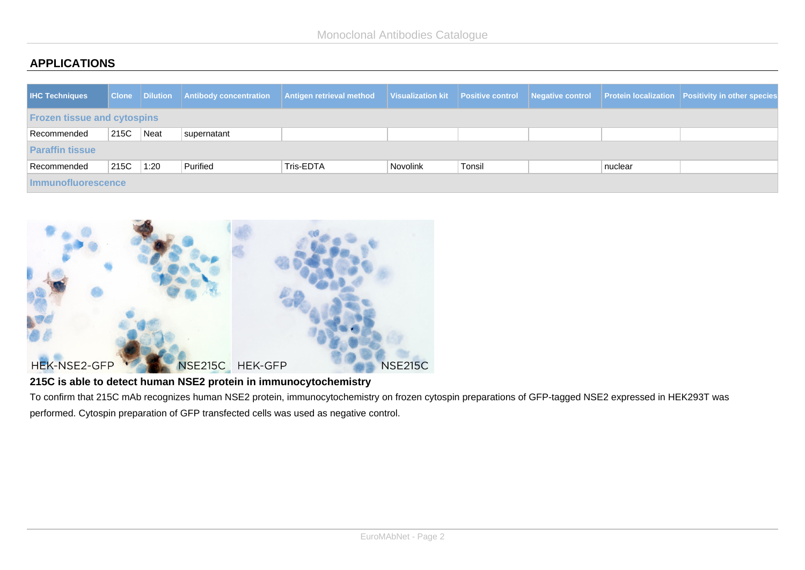## **APPLICATIONS**

| <b>IHC Techniques</b>              |      |      | <b>Clone Dilution Antibody concentration</b> | Antigen retrieval method |          |        |  |         | Visualization kit Positive control Negative control Protein localization Positivity in other species |
|------------------------------------|------|------|----------------------------------------------|--------------------------|----------|--------|--|---------|------------------------------------------------------------------------------------------------------|
| <b>Frozen tissue and cytospins</b> |      |      |                                              |                          |          |        |  |         |                                                                                                      |
| Recommended                        | 215C | Neat | supernatant                                  |                          |          |        |  |         |                                                                                                      |
| <b>Paraffin tissue</b>             |      |      |                                              |                          |          |        |  |         |                                                                                                      |
| Recommended                        | 215C | 1:20 | Purified                                     | Tris-EDTA                | Novolink | Tonsil |  | nuclear |                                                                                                      |
| <b>Immunofluorescence</b>          |      |      |                                              |                          |          |        |  |         |                                                                                                      |



## **215C is able to detect human NSE2 protein in immunocytochemistry**

To confirm that 215C mAb recognizes human NSE2 protein, immunocytochemistry on frozen cytospin preparations of GFP-tagged NSE2 expressed in HEK293T was performed. Cytospin preparation of GFP transfected cells was used as negative control.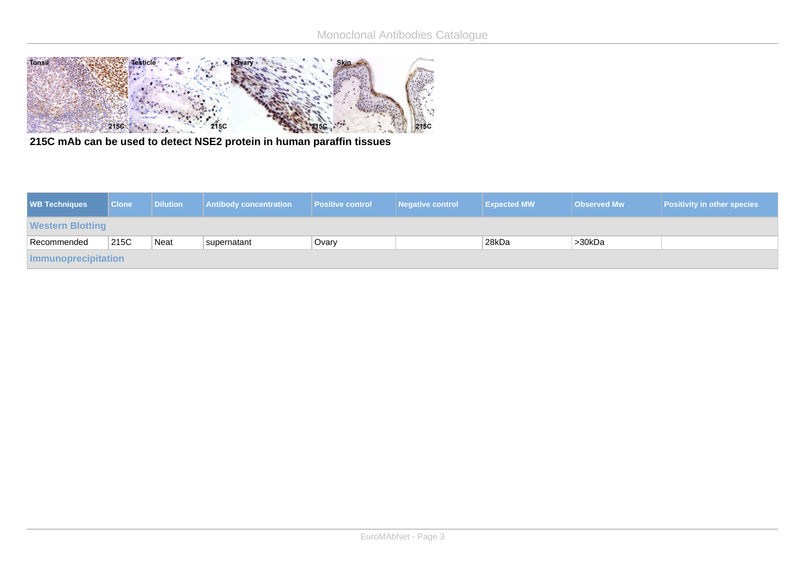

**215C mAb can be used to detect NSE2 protein in human paraffin tissues**

| <b>WB Techniques</b>    | <b>Clone</b> | <b>Dilution</b> | <b>Antibody concentration</b> | <b>Positive control</b> | Negative control | <b>Expected MW</b> | <b>Observed Mw</b> | <b>Positivity in other species</b> |
|-------------------------|--------------|-----------------|-------------------------------|-------------------------|------------------|--------------------|--------------------|------------------------------------|
| <b>Western Blotting</b> |              |                 |                               |                         |                  |                    |                    |                                    |
| Recommended             | 215C         | Neat            | supernatant                   | Ovary                   |                  | 28kDa              | >30kDa             |                                    |
| Immunoprecipitation     |              |                 |                               |                         |                  |                    |                    |                                    |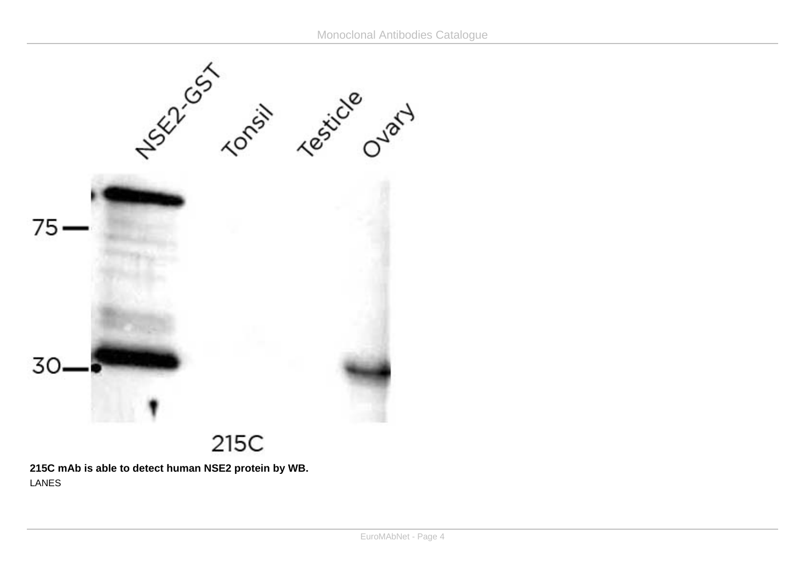

**215C mAb is able to detect human NSE2 protein by WB.** LANES